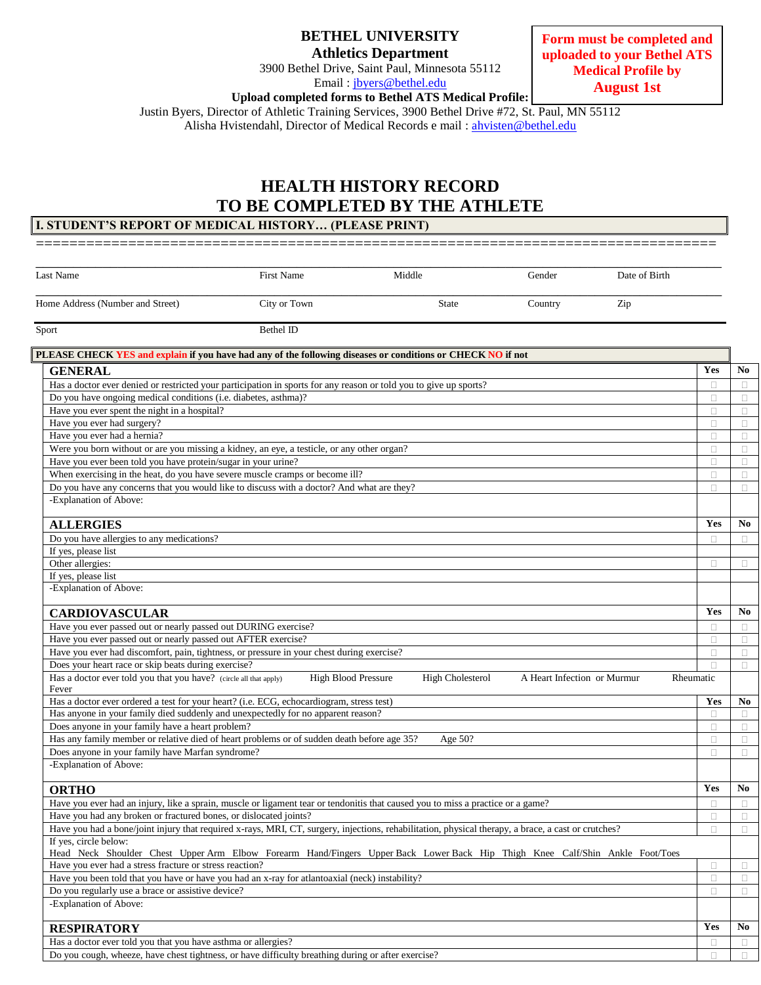| <b>BETHEL UNIVERSITY</b>    |
|-----------------------------|
| <b>Athletics Department</b> |

3900 Bethel Drive, Saint Paul, Minnesota 55112 Email : [jbyers@bethel.edu](mailto:jbyers@bethel.edu)

**Form must be completed and uploaded to your Bethel ATS Medical Profile by August 1st**

**Upload completed forms to Bethel ATS Medical Profile:**

Justin Byers, Director of Athletic Training Services, 3900 Bethel Drive #72, St. Paul, MN 55112

Alisha Hvistendahl, Director of Medical Records e mail: [ahvisten@bethel.edu](mailto:ahvisten@bethel.edu)

# **HEALTH HISTORY RECORD TO BE COMPLETED BY THE ATHLETE I. STUDENT'S REPORT OF MEDICAL HISTORY… (PLEASE PRINT)**

| Last Name                                                                                                                                                                               | <b>First Name</b> |                            | Middle                  | Gender                      | Date of Birth |        |                |
|-----------------------------------------------------------------------------------------------------------------------------------------------------------------------------------------|-------------------|----------------------------|-------------------------|-----------------------------|---------------|--------|----------------|
|                                                                                                                                                                                         |                   |                            |                         |                             |               |        |                |
| Home Address (Number and Street)                                                                                                                                                        | City or Town      |                            | <b>State</b>            | Country                     | Zip           |        |                |
| Sport                                                                                                                                                                                   | <b>Bethel ID</b>  |                            |                         |                             |               |        |                |
| PLEASE CHECK YES and explain if you have had any of the following diseases or conditions or CHECK NO if not                                                                             |                   |                            |                         |                             |               |        |                |
| <b>GENERAL</b>                                                                                                                                                                          |                   |                            |                         |                             |               | Yes    | N <sub>0</sub> |
| Has a doctor ever denied or restricted your participation in sports for any reason or told you to give up sports?                                                                       |                   |                            |                         |                             |               | O      | $\Box$         |
| Do you have ongoing medical conditions (i.e. diabetes, asthma)?                                                                                                                         |                   |                            |                         |                             |               | 0      | $\Box$         |
| Have you ever spent the night in a hospital?                                                                                                                                            |                   |                            |                         |                             |               | O      | $\Box$         |
| Have you ever had surgery?                                                                                                                                                              |                   |                            |                         |                             |               | п      | $\Box$         |
| Have you ever had a hernia?                                                                                                                                                             |                   |                            |                         |                             |               | П      | $\Box$         |
| Were you born without or are you missing a kidney, an eye, a testicle, or any other organ?                                                                                              |                   |                            |                         |                             |               | П      | $\Box$         |
| Have you ever been told you have protein/sugar in your urine?                                                                                                                           |                   |                            |                         |                             |               | п      | $\Box$         |
| When exercising in the heat, do you have severe muscle cramps or become ill?                                                                                                            |                   |                            |                         |                             |               | п      | $\Box$         |
| Do you have any concerns that you would like to discuss with a doctor? And what are they?                                                                                               |                   |                            |                         |                             |               | П      | $\Box$         |
| -Explanation of Above:                                                                                                                                                                  |                   |                            |                         |                             |               |        |                |
| <b>ALLERGIES</b>                                                                                                                                                                        |                   |                            |                         |                             |               | Yes    | No             |
| Do you have allergies to any medications?                                                                                                                                               |                   |                            |                         |                             |               | П      | $\Box$         |
| If yes, please list                                                                                                                                                                     |                   |                            |                         |                             |               |        |                |
| Other allergies:                                                                                                                                                                        |                   |                            |                         |                             |               | O      | $\Box$         |
| If yes, please list                                                                                                                                                                     |                   |                            |                         |                             |               |        |                |
| -Explanation of Above:                                                                                                                                                                  |                   |                            |                         |                             |               |        |                |
| <b>CARDIOVASCULAR</b>                                                                                                                                                                   |                   |                            |                         |                             |               | Yes    | N <sub>0</sub> |
| Have you ever passed out or nearly passed out DURING exercise?                                                                                                                          |                   |                            |                         |                             |               | 0      | $\Box$         |
| Have you ever passed out or nearly passed out AFTER exercise?                                                                                                                           |                   |                            |                         |                             |               | п      | $\Box$         |
| Have you ever had discomfort, pain, tightness, or pressure in your chest during exercise?                                                                                               |                   |                            |                         |                             |               | п      | $\Box$         |
| Does your heart race or skip beats during exercise?                                                                                                                                     |                   |                            |                         |                             |               | П      | $\Box$         |
| Has a doctor ever told you that you have? (circle all that apply)<br>Fever                                                                                                              |                   | <b>High Blood Pressure</b> | <b>High Cholesterol</b> | A Heart Infection or Murmur | Rheumatic     |        |                |
| Has a doctor ever ordered a test for your heart? (i.e. ECG, echocardiogram, stress test)                                                                                                |                   |                            |                         |                             |               | Yes    | No             |
| Has anyone in your family died suddenly and unexpectedly for no apparent reason?                                                                                                        |                   |                            |                         |                             |               | п      | $\Box$         |
| Does anyone in your family have a heart problem?                                                                                                                                        |                   |                            |                         |                             |               | п      | $\Box$         |
| Has any family member or relative died of heart problems or of sudden death before age 35?                                                                                              |                   |                            | Age 50?                 |                             |               | $\Box$ | $\Box$         |
| Does anyone in your family have Marfan syndrome?<br>-Explanation of Above:                                                                                                              |                   |                            |                         |                             |               | п      | $\Box$         |
|                                                                                                                                                                                         |                   |                            |                         |                             |               |        |                |
| <b>ORTHO</b>                                                                                                                                                                            |                   |                            |                         |                             |               | Yes    | N <sub>0</sub> |
| Have you ever had an injury, like a sprain, muscle or ligament tear or tendonitis that caused you to miss a practice or a game?                                                         |                   |                            |                         |                             |               | п      | $\Box$         |
| Have you had any broken or fractured bones, or dislocated joints?                                                                                                                       |                   |                            |                         |                             |               | 0      | $\Box$         |
| Have you had a bone/joint injury that required x-rays, MRI, CT, surgery, injections, rehabilitation, physical therapy, a brace, a cast or crutches?                                     |                   |                            |                         |                             |               | $\Box$ | $\Box$         |
| If yes, circle below:                                                                                                                                                                   |                   |                            |                         |                             |               |        |                |
| Head Neck Shoulder Chest Upper Arm Elbow Forearm Hand/Fingers Upper Back Lower Back Hip Thigh Knee Calf/Shin Ankle Foot/Toes<br>Have you ever had a stress fracture or stress reaction? |                   |                            |                         |                             |               |        |                |
|                                                                                                                                                                                         |                   |                            |                         |                             |               | П      | $\Box$         |
| Have you been told that you have or have you had an x-ray for atlantoaxial (neck) instability?<br>Do you regularly use a brace or assistive device?                                     |                   |                            |                         |                             |               | $\Box$ | $\Box$         |
| -Explanation of Above:                                                                                                                                                                  |                   |                            |                         |                             |               | 0      | $\Box$         |
|                                                                                                                                                                                         |                   |                            |                         |                             |               |        |                |
| <b>RESPIRATORY</b>                                                                                                                                                                      |                   |                            |                         |                             |               | Yes    | No             |
| Has a doctor ever told you that you have asthma or allergies?                                                                                                                           |                   |                            |                         |                             |               | 0      | $\Box$         |
| Do you cough, wheeze, have chest tightness, or have difficulty breathing during or after exercise?                                                                                      |                   |                            |                         |                             |               | 0      | $\Box$         |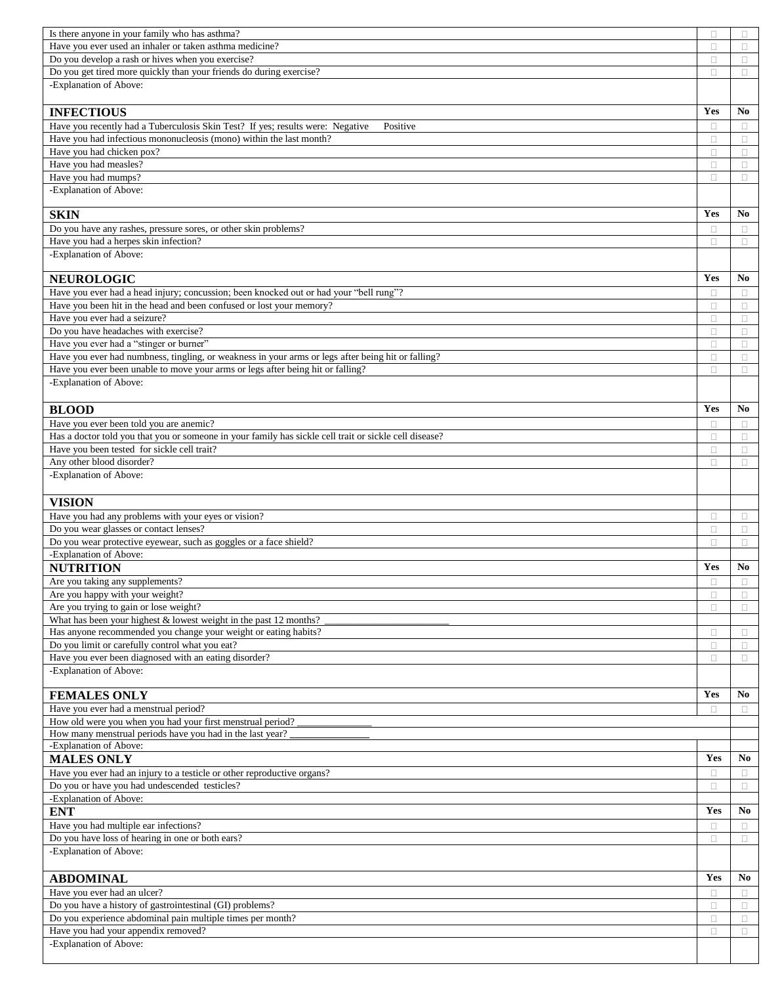| Is there anyone in your family who has asthma?                                                                                         | П      | $\Box$           |
|----------------------------------------------------------------------------------------------------------------------------------------|--------|------------------|
| Have you ever used an inhaler or taken asthma medicine?                                                                                | $\Box$ | $\Box$           |
| Do you develop a rash or hives when you exercise?                                                                                      | $\Box$ | $\Box$           |
| Do you get tired more quickly than your friends do during exercise?                                                                    | П      | $\Box$           |
| -Explanation of Above:                                                                                                                 |        |                  |
|                                                                                                                                        |        |                  |
| <b>INFECTIOUS</b>                                                                                                                      | Yes    | No.              |
| Have you recently had a Tuberculosis Skin Test? If yes; results were: Negative<br>Positive                                             | Ω      | $\Box$           |
| Have you had infectious mononucleosis (mono) within the last month?                                                                    | O      | $\Box$           |
| Have you had chicken pox?                                                                                                              | $\Box$ | $\Box$           |
| Have you had measles?                                                                                                                  | $\Box$ | $\Box$           |
| Have you had mumps?                                                                                                                    | П      | $\Box$           |
| -Explanation of Above:                                                                                                                 |        |                  |
|                                                                                                                                        |        |                  |
| <b>SKIN</b>                                                                                                                            | Yes    | No               |
| Do you have any rashes, pressure sores, or other skin problems?                                                                        | $\Box$ |                  |
| Have you had a herpes skin infection?                                                                                                  | п      | $\Box$<br>$\Box$ |
| -Explanation of Above:                                                                                                                 |        |                  |
|                                                                                                                                        |        |                  |
| <b>NEUROLOGIC</b>                                                                                                                      | Yes    | No               |
| Have you ever had a head injury; concussion; been knocked out or had your "bell rung"?                                                 | $\Box$ |                  |
| Have you been hit in the head and been confused or lost your memory?                                                                   |        | $\Box$           |
| Have you ever had a seizure?                                                                                                           | Ω      | $\Box$           |
| Do you have headaches with exercise?                                                                                                   | $\Box$ | $\Box$           |
|                                                                                                                                        | Ω      | $\Box$           |
| Have you ever had a "stinger or burner"                                                                                                | $\Box$ | $\Box$           |
| Have you ever had numbness, tingling, or weakness in your arms or legs after being hit or falling?                                     | $\Box$ | $\Box$           |
| Have you ever been unable to move your arms or legs after being hit or falling?                                                        | П      | $\Box$           |
| -Explanation of Above:                                                                                                                 |        |                  |
|                                                                                                                                        |        |                  |
| <b>BLOOD</b>                                                                                                                           | Yes    | No               |
| Have you ever been told you are anemic?                                                                                                | $\Box$ | $\Box$           |
| Has a doctor told you that you or someone in your family has sickle cell trait or sickle cell disease?                                 | П      | $\Box$           |
| Have you been tested for sickle cell trait?                                                                                            | $\Box$ | $\Box$           |
| Any other blood disorder?                                                                                                              | Ω      | $\Box$           |
| -Explanation of Above:                                                                                                                 |        |                  |
|                                                                                                                                        |        |                  |
| <b>VISION</b>                                                                                                                          |        |                  |
| Have you had any problems with your eyes or vision?                                                                                    | $\Box$ | $\Box$           |
| Do you wear glasses or contact lenses?                                                                                                 | Ω      | $\Box$           |
| Do you wear protective eyewear, such as goggles or a face shield?                                                                      | п      | $\Box$           |
| -Explanation of Above:                                                                                                                 |        |                  |
| <b>NUTRITION</b>                                                                                                                       | Yes    | No               |
| Are you taking any supplements?                                                                                                        | П      | $\Box$           |
| Are you happy with your weight?                                                                                                        | $\Box$ | $\Box$           |
|                                                                                                                                        |        | $\Box$           |
| Are you trying to gain or lose weight?                                                                                                 | Ω      |                  |
|                                                                                                                                        |        |                  |
| What has been your highest $&$ lowest weight in the past 12 months?<br>Has anyone recommended you change your weight or eating habits? | $\Box$ | $\Box$           |
|                                                                                                                                        | $\Box$ | $\Box$           |
| Do you limit or carefully control what you eat?<br>Have you ever been diagnosed with an eating disorder?                               | $\Box$ | $\Box$           |
| -Explanation of Above:                                                                                                                 |        |                  |
|                                                                                                                                        |        |                  |
| <b>FEMALES ONLY</b>                                                                                                                    | Yes    | No               |
| Have you ever had a menstrual period?                                                                                                  | $\Box$ | $\Box$           |
| How old were you when you had your first menstrual period?                                                                             |        |                  |
| How many menstrual periods have you had in the last year?                                                                              |        |                  |
| -Explanation of Above:                                                                                                                 |        |                  |
| <b>MALES ONLY</b>                                                                                                                      | Yes    | No               |
|                                                                                                                                        | O      |                  |
| Have you ever had an injury to a testicle or other reproductive organs?                                                                | $\Box$ | $\Box$<br>$\Box$ |
| Do you or have you had undescended testicles?<br>-Explanation of Above:                                                                |        |                  |
|                                                                                                                                        | Yes    | No               |
| <b>ENT</b>                                                                                                                             |        |                  |
| Have you had multiple ear infections?                                                                                                  | $\Box$ | $\Box$           |
| Do you have loss of hearing in one or both ears?                                                                                       | Ω      | $\Box$           |
| -Explanation of Above:                                                                                                                 |        |                  |
|                                                                                                                                        |        |                  |
| <b>ABDOMINAL</b>                                                                                                                       | Yes    | No               |
| Have you ever had an ulcer?                                                                                                            | $\Box$ | $\Box$           |
| Do you have a history of gastrointestinal (GI) problems?                                                                               | $\Box$ | $\Box$           |
| Do you experience abdominal pain multiple times per month?                                                                             | $\Box$ | $\Box$           |
| Have you had your appendix removed?                                                                                                    | П      | $\Box$           |
| -Explanation of Above:                                                                                                                 |        |                  |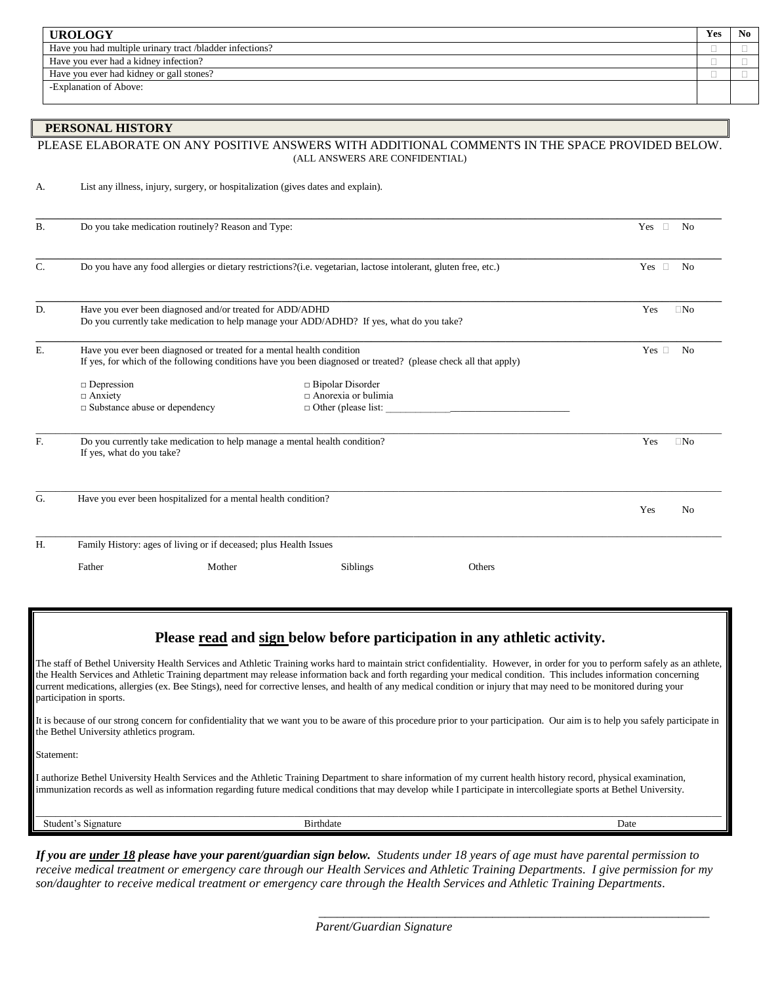| <b>UROLOGY</b>                                           | Yes | N <sub>0</sub> |
|----------------------------------------------------------|-----|----------------|
| Have you had multiple urinary tract /bladder infections? |     |                |
| Have you ever had a kidney infection?                    |     |                |
| Have you ever had kidney or gall stones?                 |     |                |
| -Explanation of Above:                                   |     |                |
|                                                          |     |                |

#### **PERSONAL HISTORY**

### PLEASE ELABORATE ON ANY POSITIVE ANSWERS WITH ADDITIONAL COMMENTS IN THE SPACE PROVIDED BELOW. (ALL ANSWERS ARE CONFIDENTIAL)

|  |  | List any illness, injury, surgery, or hospitalization (gives dates and explain). |
|--|--|----------------------------------------------------------------------------------|
|  |  |                                                                                  |

| <b>B.</b>      | Do you take medication routinely? Reason and Type:                                                      |                                                                                                                 |        | $\Box$<br>Yes<br>No             |
|----------------|---------------------------------------------------------------------------------------------------------|-----------------------------------------------------------------------------------------------------------------|--------|---------------------------------|
| $\mathbf{C}$ . |                                                                                                         | Do you have any food allergies or dietary restrictions?(i.e. vegetarian, lactose intolerant, gluten free, etc.) |        | $\Box$<br>Yes<br>N <sub>0</sub> |
| D.             | Have you ever been diagnosed and/or treated for ADD/ADHD                                                | Do you currently take medication to help manage your ADD/ADHD? If yes, what do you take?                        |        | Yes<br>$\Box$ No                |
| E.             | Have you ever been diagnosed or treated for a mental health condition                                   | If yes, for which of the following conditions have you been diagnosed or treated? (please check all that apply) |        | Yes $\square$<br>N <sub>0</sub> |
|                | $\Box$ Depression<br>$\Box$ Anxiety<br>$\Box$ Substance abuse or dependency                             | □ Bipolar Disorder<br>$\Box$ Anorexia or bulimia<br>$\Box$ Other (please list:                                  |        |                                 |
| F.             | Do you currently take medication to help manage a mental health condition?<br>If yes, what do you take? |                                                                                                                 |        | Yes<br>$\Box$ No                |
| G.             | Have you ever been hospitalized for a mental health condition?                                          |                                                                                                                 |        | Yes<br>No                       |
| Н.             | Family History: ages of living or if deceased; plus Health Issues                                       |                                                                                                                 |        |                                 |
|                | Father<br>Mother                                                                                        | Siblings                                                                                                        | Others |                                 |

### **Please read and sign below before participation in any athletic activity.**

The staff of Bethel University Health Services and Athletic Training works hard to maintain strict confidentiality. However, in order for you to perform safely as an athlete, the Health Services and Athletic Training department may release information back and forth regarding your medical condition. This includes information concerning current medications, allergies (ex. Bee Stings), need for corrective lenses, and health of any medical condition or injury that may need to be monitored during your participation in sports.

It is because of our strong concern for confidentiality that we want you to be aware of this procedure prior to your participation. Our aim is to help you safely participate in the Bethel University athletics program.

Statement:

I authorize Bethel University Health Services and the Athletic Training Department to share information of my current health history record, physical examination, immunization records as well as information regarding future medical conditions that may develop while I participate in intercollegiate sports at Bethel University.

| studen <sup>+</sup><br>Signature | Birthdate | Date |
|----------------------------------|-----------|------|

*If you are under 18 please have your parent/guardian sign below. Students under 18 years of age must have parental permission to receive medical treatment or emergency care through our Health Services and Athletic Training Departments. I give permission for my son/daughter to receive medical treatment or emergency care through the Health Services and Athletic Training Departments.*

 *\_\_\_\_\_\_\_\_\_\_\_\_\_\_\_\_\_\_\_\_\_\_\_\_\_\_\_\_\_\_\_\_\_\_\_\_\_\_\_\_\_\_\_\_\_\_\_\_\_\_\_\_\_\_\_\_\_\_\_\_\_\_\_*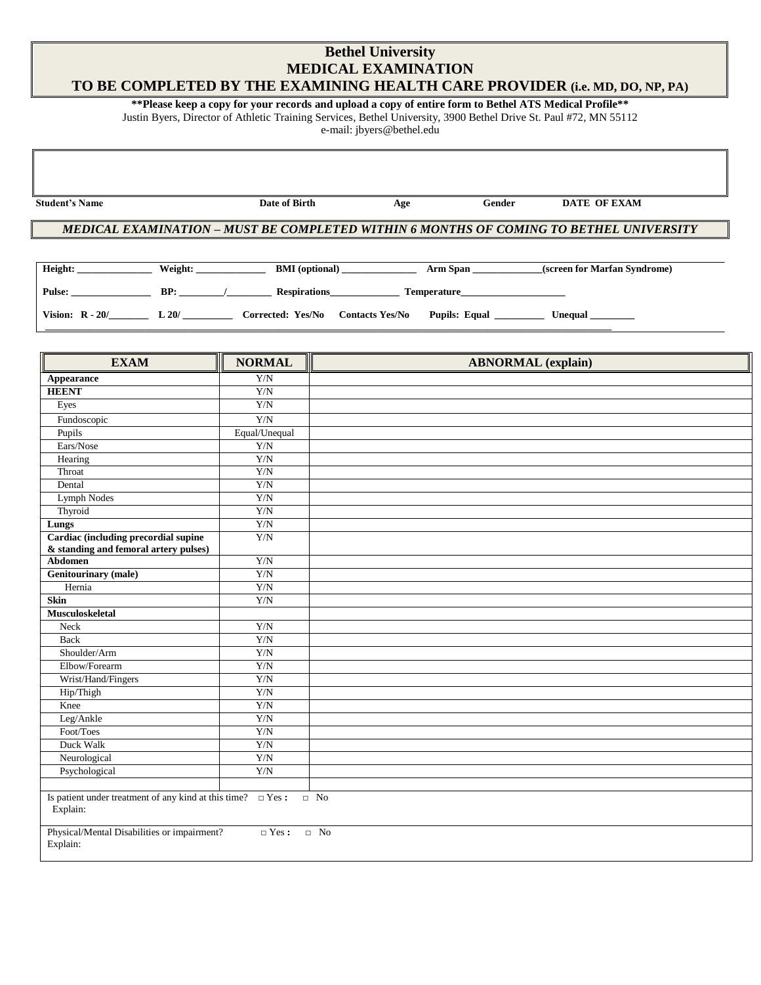### **Bethel University MEDICAL EXAMINATION TO BE COMPLETED BY THE EXAMINING HEALTH CARE PROVIDER (i.e. MD, DO, NP, PA)**

# **\*\*Please keep a copy for your records and upload a copy of entire form to Bethel ATS Medical Profile\*\***

Justin Byers, Director of Athletic Training Services, Bethel University, 3900 Bethel Drive St. Paul #72, MN 55112

e-mail: jbyers@bethel.edu

| <b>Student's Name</b> |         | Date of Birth         | Age                | Gender | DATE OF EXAM                                                                           |
|-----------------------|---------|-----------------------|--------------------|--------|----------------------------------------------------------------------------------------|
|                       |         |                       |                    |        |                                                                                        |
|                       |         |                       |                    |        | MEDICAL EXAMINATION – MUST BE COMPLETED WITHIN 6 MONTHS OF COMING TO BETHEL UNIVERSITY |
|                       |         |                       |                    |        |                                                                                        |
| Height:               | Weight: | <b>BMI</b> (optional) | Arm Span           |        | (screen for Marfan Syndrome)                                                           |
| <b>Pulse:</b>         | BP:     | <b>Respirations</b>   | <b>Temperature</b> |        |                                                                                        |

**Vision: R - 20/\_\_\_\_\_\_\_\_ L 20/ \_\_\_\_\_\_\_\_\_\_ Corrected: Yes/No Contacts Yes/No Pupils: Equal \_\_\_\_\_\_\_\_\_\_ Unequal \_\_\_\_\_\_\_\_\_ \_\_\_\_\_\_\_\_\_\_\_\_\_\_\_\_\_\_\_\_\_\_\_\_\_\_\_\_\_\_\_\_\_\_\_\_\_\_\_\_\_\_\_\_\_\_\_\_\_\_\_\_\_\_\_\_\_\_\_\_\_\_\_\_\_\_\_\_\_\_\_\_\_\_\_\_\_\_\_\_\_\_\_\_\_\_\_\_\_\_\_\_\_\_\_\_\_\_\_\_\_\_\_\_\_\_\_\_\_\_\_\_\_\_**

| <b>EXAM</b>                                                                   | <b>NORMAL</b> | TII<br><b>ABNORMAL</b> (explain) |
|-------------------------------------------------------------------------------|---------------|----------------------------------|
| Appearance                                                                    | Y/N           |                                  |
| <b>HEENT</b>                                                                  | Y/N           |                                  |
| Eyes                                                                          | ${\rm Y/N}$   |                                  |
| Fundoscopic                                                                   | ${\rm Y/N}$   |                                  |
| Pupils                                                                        | Equal/Unequal |                                  |
| Ears/Nose                                                                     | ${\rm Y/N}$   |                                  |
| Hearing                                                                       | Y/N           |                                  |
| Throat                                                                        | Y/N           |                                  |
| Dental                                                                        | ${\rm Y/N}$   |                                  |
| <b>Lymph Nodes</b>                                                            | ${\rm Y/N}$   |                                  |
| Thyroid                                                                       | ${\rm Y/N}$   |                                  |
| Lungs                                                                         | Y/N           |                                  |
| Cardiac (including precordial supine                                          | Y/N           |                                  |
| & standing and femoral artery pulses)<br>Abdomen                              | ${\rm Y/N}$   |                                  |
| <b>Genitourinary</b> (male)                                                   | ${\rm Y/N}$   |                                  |
| Hernia                                                                        | ${\rm Y/N}$   |                                  |
| Skin                                                                          | Y/N           |                                  |
| <b>Musculoskeletal</b>                                                        |               |                                  |
| Neck                                                                          | ${\rm Y/N}$   |                                  |
| Back                                                                          | Y/N           |                                  |
| Shoulder/Arm                                                                  | Y/N           |                                  |
| Elbow/Forearm                                                                 | ${\rm Y/N}$   |                                  |
| Wrist/Hand/Fingers                                                            | Y/N           |                                  |
| Hip/Thigh                                                                     | ${\rm Y/N}$   |                                  |
| Knee                                                                          | ${\rm Y/N}$   |                                  |
| Leg/Ankle                                                                     | ${\rm Y/N}$   |                                  |
| Foot/Toes                                                                     | Y/N           |                                  |
| Duck Walk                                                                     | Y/N           |                                  |
| Neurological                                                                  | Y/N           |                                  |
| Psychological                                                                 | Y/N           |                                  |
|                                                                               |               |                                  |
| Is patient under treatment of any kind at this time? $\Box$ Yes :<br>Explain: |               | $\Box$ No                        |
| Physical/Mental Disabilities or impairment?<br>Explain:                       | $\Box$ Yes :  | $\hfill \Box$ No                 |